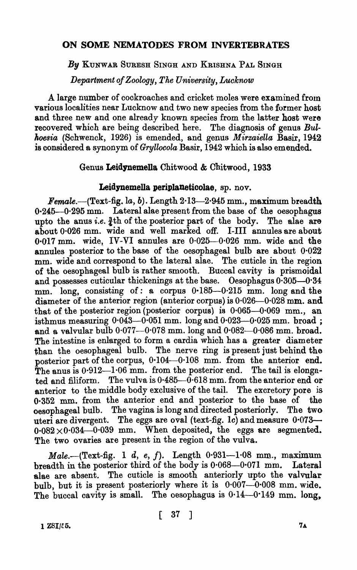# ON SOME NEMATODES FROM INVERTEBRATES

### *By* KUNWAR SURESH SINGH AND KRISHNA PAL SINGH

*Department of Zoology, The University, Lueknow* 

A large number of cockroaches and cricket moles were examined from various localities near Lucknow and two new species from the former host and three new and one already known species from the latter host were recovered which are being described here. The diagnosis of genus Bul*koesia* (Schwenck, 1926) is emended, and genus *Mirzaiella* Basir, 1942 is considered a synonym of *Gryllocola* Basir, 1942 which is also emended.

### Genus Leidynemella Chitwood & Chitwood, 1933

### Leidynemella periplaneticolae, sp. nov.

Female.—(Text-fig. la, b). Length  $2.13-2.945$  mm., maximum breadth  $0.245-0.295$  mm. Lateral alae present from the base of the oesophagus upto the anus *i.e.*  $\frac{3}{4}$ th of the posterior part of the body. The alae are about 0·026 mm. wide and well marked off. I-III annules are about  $0.017$  mm. wide, IV-VI annules are  $0.025-0.026$  mm. wide and the annules posterior to the base of the oesophageal bulb are about  $0.022$ mm. wide and correspond to the lateral alae. The cuticle in the region of the oesophageal bulb is rather smooth. Buccal cavity is prismoidal and possesses cuticular thickenings at the base. Oesophagus  $0.305-0.34$ mm. long, consisting of: a corpus 0.185-0.215 mm. long and the diameter of the anterior region (anterior corpus) is  $0.026 - 0.028$  mm. and that of the posterior region (posterior corpus) is  $0.065-0.069$  mm., an isthmus measuring  $0.043-0.051$  mm. long and  $0.023-0.025$  mm. broad ; and a valvular bulb  $0.077-0.078$  mm. long and  $0.082-0.086$  mm. broad. The intestine is enlarged to form a cardia which has a greater diameter than the oesophageal bulb. The nerve ring is present just behind the posterior part of the corpus, 0.104-0.108 mm. from the anterior end. The anus is  $0.912-1.06$  mm. from the posterior end. The tail is elongated and filiform. The vulva is  $0.485 - 0.618$  mm. from the anterior end or anterior to the middle body exclusive of the tail. The excretory pore is 0·352 mm. from the anterior end and posterior to the base of the oesophageal bulb. The vagina is long and directed posteriorly. The two uteri are divergent. The eggs are oval (text-fig. *Ie)* and measure 0·073-  $0.082 \times 0.034$ -0.039 mm. When deposited, the eggs are segmented. The two ovaries are present in the region of the vulva.

 $Male. - (Text-fig. 1 d, e, f).$  Length  $0.931-1.08$  mm., maximum breadth in the posterior third of the body is  $0.068-0.071$  mm. Lateral alae are absent. The cuticle is smooth anteriorly upto the valvular bulb, but it is present posteriorly where it is  $0.007 - 0.008$  mm. wide. The buccal cavity is small. The oesophagus is  $0.14-0.149$  mm. long,

1 *Z8I/t:5.* 7A.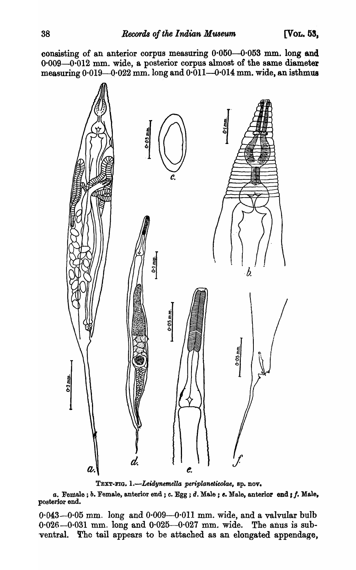consisting of an anterior corpus measuring  $0.050-0.053$  mm. long and  $0.009 - 0.012$  mm. wide, a posterior corpus almost of the same diameter measuring  $0.019-0.022$  mm. long and  $0.011-0.014$  mm. wide, an isthmus



TEXT-FIG. 1.-Leidynemella periplaneticolae, sp. nov.

a. Female; *b.* Female, anterior end; c. Egg; d. Male; e. Male, anterior end; f. Male, posterior end.

 $0.043 - 0.05$  mm. long and  $0.009 - 0.011$  mm. wide, and a valvular bulb  $0.026 - 0.031$  mm. long and  $0.025 - 0.027$  mm. wide. The anus is subventral. The tail appears to be attached as an elongated appendage,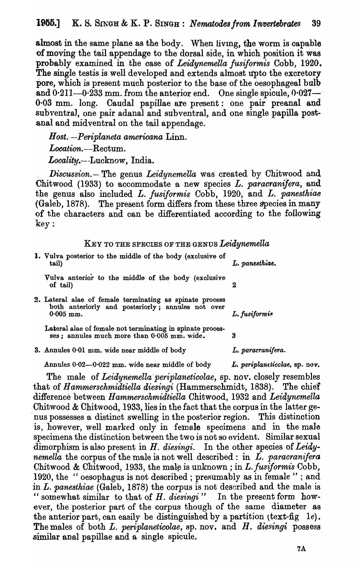almost in the same plane as the body. When livmg, the worm is capable of moving the tail appendage to the dorsal side, in which position it was probably examined in the case of *Leidynemella fusiformis* Cobb, 1920. The single testis is well developed and extends almost upto the excretory pore, which is present much posterior to the base of the oesophageal bulb and  $0.211-0.233$  mm. from the anterior end. One single spicule,  $0.027-1$ 0·03 mm. long. Caudal papillae are present: one pair preanal and subventraJ, one pair adanal and sub ventral, and one single papilla postanal and midventral on the tail appendage.

*Host.·-Periplaneta amerioana* Linn.

Location.-Rectum.

Locality.---Lucknow, India.

*Discussion.*-- The genus *Leidynemella* was created by Chitwood and Chitwood (1933) to accommodate a new species *L. paracranifera*, and the genus also included *L. fusiformis* Cobb, 1920, and *L. panesthiae* (Galeb, 1878). The present form differs from these three species in many of the characters and can be differentiated according to the following  $\textbf{key}:$ 

KEY TO THE SPECIES OF THE GENUS *Leidynemella* 

| 1. Vulva posterior to the middle of the body (exclusive of<br>tail)                                                          | L. panesthiae. |
|------------------------------------------------------------------------------------------------------------------------------|----------------|
| Vulva anterior to the middle of the body (exclusive<br>of tail)                                                              |                |
| 2. Lateral alae of female terminating as spinate process<br>both anteriorly and posteriorly; annules not over<br>$0.005$ mm. | L. fusiformis  |
| Lateral alae of female not terminating in spinate proces-<br>ses; annules much more than 0.005 mm. wide.                     |                |

3. Annules 0.01 mm. wide near middle of body *L. paracranifera.* 

Annules 0.02-0.022 mm. wide near middle of body *L. periplaneticclae*, sp. nov.

The male of *Leidynemella 'periplanetioolae,* sp. nov. closely resembles that of *Hammerschmidtiella diesingi* (Hammerschmidt, 1838). The chief difference between *Hammersohmidtiella* Chitwood, 1932 and *Leidynemella*  Chitwood & Chitwood, 1933, lies in the fact that the corpus in the latter ge- . nus possesses a distinct swelling in the posterior region. This distinction is, however, well marked only in female specimens and in the male specimens the distinction between the two is not so evident. Similar sexual dimorphism is also present in *H. diesingi.* In the other species of *Leidynemella* the corpus of the male is not well described: in *L. paracranifera* Chitwood & Chitwood, 1933, the male is unknown; in *L. fusiformis* Cobb, 1920, the " oesophagus is not described; presumably as in female "; and in L. *panesthiae* (Galeb, 1878) the corpus is not described and the male is " somewhat similar to that of H. diesingi" In the present form however, the posterior part of the corpus though of the same diameter as the anterior part, can easily be distinguished by a partition {text-fig *Ie).*  The males of both L. *periplaneticolae*, sp. nov. and H. *diesingi* possess similar anal papillae and a single spicule.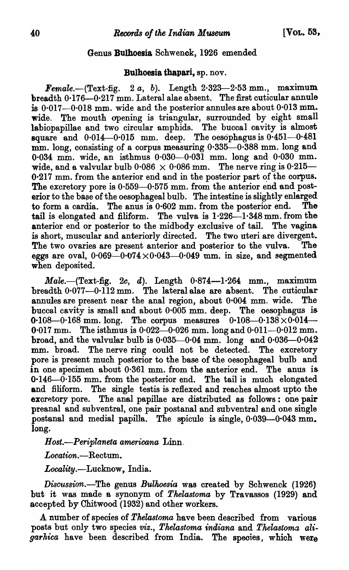### Genus Bulhoesia Schwenck, 1926 emended

#### Bulhoesia thapari, sp. nov.

 $\boldsymbol{Female.}$ -(Text-fig. 2 *a*, *b*). Length 2.323-2.53 mm., maximum breadth 0.176-0.217 mm. Lateral alae absent. The first cuticular annule is  $0.017$ -0.018 mm. wide and the posterior annules are about  $0.013$  mm. wide. The mouth dpening is triangular, surrounded by eight small labiopapillae and two circular amphids. The buccal cavity is almost square and  $0.014-0.015$  mm. deep. The oesophagus is  $0.451-0.481$ mm. long, consisting of a corpus measuring  $0.335-0.388$  mm. long and 0·034 mm. wide, an isthmus 0·030--0·031 mm. long and 0·030 mm. wide, and a valvular bulb  $0.086 \times 0.086$  mm. The nerve ring is  $0.215 0.217$  mm. from the anterior end and in the posterior part of the corpus. The excretory pore is 0.559-0.575 mm. from the anterior end and posterior to the base of the oesophageal bulb. The intestine is slightly enlarged to form a cardia. The anus is 0·602 mm. from the posterior end. The tail is elongated and filiform. The vulva is  $1.226 - 1.348$  mm. from the anterior end or posterior to the midbody exclusive of tail. The vagina is short, muscular and anteriorly directed. The two uteri are divergent. The two ovaries are present anterior and posterior to the vulva. The eggs are oval,  $0.069 - 0.074 \times 0.043 - 0.049$  mm. in size, and segmented when deposited.

 $Male.$   $(Text-fig. 2c, d)$ . Length  $0.874-1.264$  mm., maximum breadth  $0.077-0.112$  mm. The lateral alae are absent. The cuticular annules are present near the anal region, about 0·004 mm. wide. The buccal cavity is small and about 0·005 mm. deep. The oesophagus is 0.108-0.168 mm. long. The corpus measures  $0.108-0.138\times0.014-$ 0.017 mm. The isthmus is  $0.022 - 0.026$  mm. long and  $0.011 - 0.012$  mm. broad, and the valvular bulb is  $0.035-0.04$  mm. long and  $0.036-0.042$ mm. broad. The nerve ring could not be detected. The excretory pore is present much posterior to the base of the oesophageal bulb and in one specimen about 0·361 mm. from the anterior end. The anus is  $0.146 - 0.155$  mm. from the posterior end. The tail is much elongated and filiform. The single testis is reflexed and reaches almost upto the excretory pore. The anal papillae are distributed as follows: one pair preanal and subventral, one pair postanal and subventral and one single postanal and medial papilla. The spicule is single,  $0.039 - 0.043$  mm. long.

*Host.-Periplaneta americana* Linn.

*Location.-Rectum.* 

Locality.-Lucknow, India.

*Discussion.*-The genus *Bulhoesia* was created by Schwenck (1926) but it was made a synonym of *Thelastoma* by Travassos (1929) and accepted by Chitwood (1932) and other workers.

A number of species of *Thelastoma* have been described from various posts but only two species *viz., Thelastoma indiana* and *Thelastoma aligarhica* have been described from India. The species, which were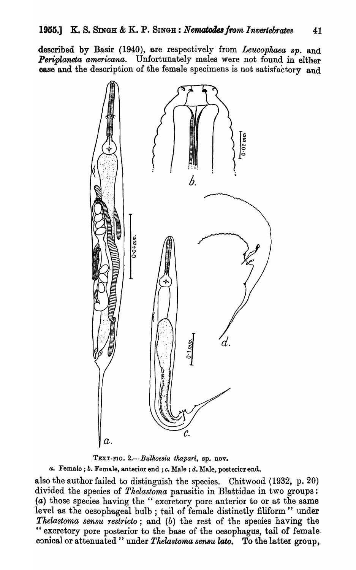desoribed by Basir *(1940),* are respectively from *Leucophaea sp.* and *Periplaneta americana.* Unfortunately males were not found in either case and the description of the female specimens is not satisfactory and



TEXT-FJO. *2.-·-B·ulkoe8ia thapari,* sp. nov.

*u.* Female; *b.* Female, anterior end; *c.* Male; *d.* Male, postericrend.

also the author failed to distinguish the species. Chitwood (1932, p. 20) divided the species of *Thelastoma* parasitic in Blattidae in two groups: (a) those species having the" excretory pore anterior to or at the same level as the oesophageal bulb; tail of female distinctly filiform " under *Tkelastoma sensu restricto;* and *(b)* the rest of the species having the " excretory pore posterior to the base of the oesophagus, tail of female <sup>l</sup> conical or attenuated " under *Thelastoma sensu lato*. To the latter group,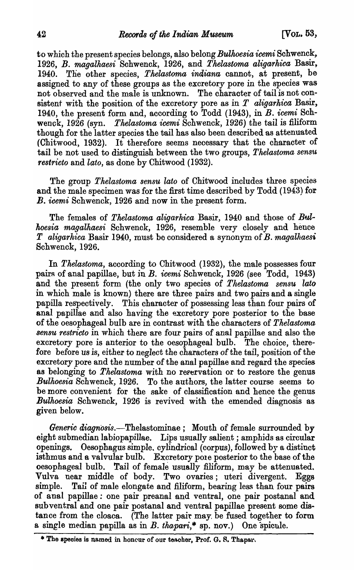to which the present species belongs, also belong *Bulhoesia icemi* Schwenck, 1926, *B. magalhaesi* Schwenck, 1926, and *Thelastoma aligarhica* Basir, 1940. Tlie other species, *Thelastoma indiana* cannot, at present, be assigned to any of these groups as the excretory pore in the species was not observed and the male is unknown. The character of tail is not consistent with the position of the excretory pore as in *T aligarhica* Basir, 1940, the present form and, according to Todd (1943), in B. *icemi* Schwenck, 1926 (syn. *Thelastoma icemi* Schwenck, 1926) the tail is filiform though for the latter species the tail has also been described as attenuated (Chitwood, 1932). It therefore seems necessary that the character of tail be not used to distinguish between the two groups, *Thelastoma sensu restricto* and *lato,* as done by Chitwood (1932).

The group *Thelastoma sensu lato* of Chitwood inoludes three species and the male specimen was for the first time described by Todd (1943) for *B. icemi* Schwenck, 1926 and now in the present form.

The females of *Thelastoma aligarhica* Basir, 1940 and those of *Btdhoesia magalhaesi* Schwenck, 1926, resemble very olosely and hence *T* aligarhica Basir 1940, must be considered a synonym of *B. magalhaesi* Schwenck, 1926.

In *Thelastoma,* according to Chitwood (1932), the male possesses four pairs of anal papillae, but in *B. icemi* Schwenck, 1926 (see Todd, 1943) and the present form (the only two species of *Thelastoma sensu lato*  in which male is known) there are three pairs and two pairs and a single papilla respectively. This oharacter of possessing less than four pairs of anal papillae and also having the excretory pore posterior to the base of the oesophageal bulb are in contrast with the characters of *Thelastoma sensu restricto* in which there are four pairs of anal papillae and also the excretory pore is anterior to the oesophageal bulb. The choice, therefore before us is, either to *neglect* the characters of the tail, position of the exoretory pore and the number of the anal papillae and regard the species as belonging to *Thelastoma* with no reservation or to restore the genus *Bulkoesia* Schwenck, 1926. To the authors, the latter course seems to be more convenient for the sake of classification and hence the genus *Bulhoesia* Schwenck, 1926 is revived with the emended diagnosis as given below.

Generic diagnosis.—Thelastominae; Mouth of female surrounded by eight submedian labiopapillae. Lips usually salient; amphids as circular openings. Oesophagus simple. cylindrical (corpus), followed by a distinct isthmus and a valvular bulb. Excretory pole posterior to the base of the oesophageal bulb. Tail of female usually filiform, may be attenuated. Vulva near middle of body. Two ovaries; uteri divergent. Eggs simple. Tail of male elongate and filiform, bearing less than four pairs of anal papillae: one pair preanal and ventral, one pair postanal and sub ventral and one pair postanal and ventral papillae present some distance from the cloaca. (The latter pair may be fused together to form a single median papilla as in  $B$ . tha pari,\* sp. nov.) One spicule.

<sup>\*</sup> The species is named in honour of our teacher, Prof. G. S. Thapar.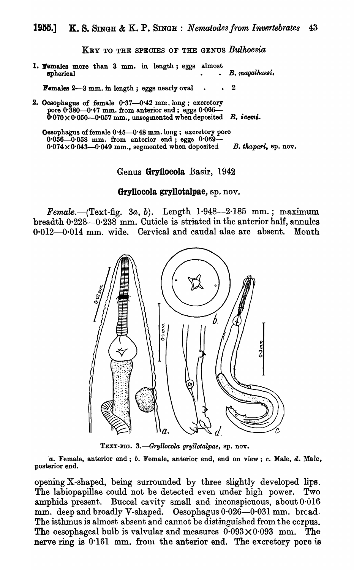KEY TO THE SPECIES OF THE GENUS *Bulhoesia* 

1. **Temales more than 3 mm. in length; eggs almost** spherical *g spherical g spherical g setal***<sub>1</sub></sup> <b>***g s <i>g s g s g g s g g g g g g g g g g g g g g g g g* 

Females  $2-3$  mm. in length; eggs nearly oval  $\cdot$  2

2. Oesophagus of female 0.37-0.42 mm. long; excretory pore 0.380-0.47 mm. from anterior end; eggs 0.065-0'070 X 0'050-0-057 mm., unsegmented when deposited B. *'ceml.* 

Oesophagus of female 0'45-0'48 mm. long; excretory pore 0'056--0'058 mm. from anterior end; eggs 0'069-  $0.074 \times 0.043$ -0.049 mm., segmented when deposited B. thapari, sp. nov.

Genus Gryllocola Basir, 1942

#### Gryllocola gryllotalpae) sp. nov.

Female.- $(Text-fig. 3a, b)$ . Length  $1.948-2.185$  mm.; maximum breadth  $0.228-0.238$  mm. Cuticle is striated in the anterior half, annules 0·012-0·014 mm. wide. Cervical and caudal alae are absent. Mouth



TEXT-FIG. 3.-Gryllocola gryllotalpae, sp. nov.

*a.* Female, anterior end; *b.* Female, anterior end, end on view; *c.* Male, d. MaJe, posterior end.

opening X-shaped, being surrounded by three slightly developed lips. The labiopapillae could not be detected even under high power. Two amphids present. Buccal cavity small and inconspicuous, about 0.016 mm. deep and broadly V-shaped. Oesophagus  $0.026 - 0.031$  mm. broad. The isthmus is almost absent and cannot be distinguished from the corpus. The oesophageal bulb is valvular and measures  $0.093 \times 0.093$  mm. The nerve ring is  $0.161$  mm. from the anterior end. The excretory pore is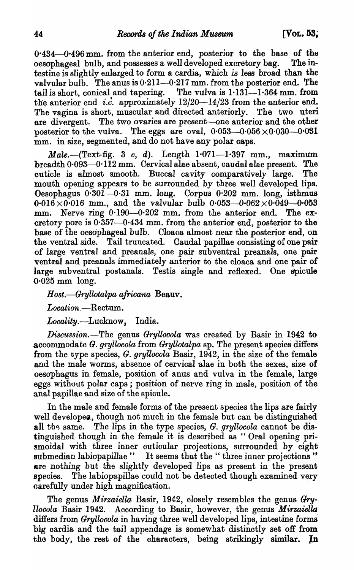$0.434 - 0.496$  mm. from the anterior end, posterior to the base of the oesophageal bulb, and possesses a well developed excretory bag. The intestine is slightly enlarged to form a cardia, which is less broad than the valvular bulb. The anus is  $0.211-0.217$  mm. from the posterior end. The tail is short, conical and tapering. The vulva is  $1.13\overline{1}$ -1.364 mm, from the anterior end *i.e.* approximately  $12/20-14/23$  from the anterior end. The vagina is short, muscular and directed anteriorly. The two uteri are divergent. The two ovaries are present-one anterior and the other posterior to the vulva. The eggs are oval,  $0.053-0.056 \times 0.030-0.031$ mm. in size, segmented, and do not have any polar caps.

 $Male. - (Text-fig. 3 c, d). Length 1.071-1.397 mm., maximum$  $breadth 0.093-0.112$  mm. Cervical alae absent, caudal alae present. The cuticle is almost smooth. Buccal cavity comparatively large. The mouth opening appears to be surrounded by three well developed lips. Oesophagus 0·301-0·31 mm. long. Corpus 0-202 mm. long, isthmus  $0.016 \times 0.016$  mm., and the valvular bulb  $0.053 - 0.062 \times 0.049 - 0.053$ mm. Nerve ring  $0.190-0.202$  mm. from the anterior end. The excretory pore is  $0.357$ -0.434 mm. from the anterior end, posterior to the base of the oesophageal bulb. Cloaca almost near the posterior end, on the ventral side. Tail truncated. Caudal papillae consisting of one pair of large ventral and preanals, one pair sub ventral preanals, one pair ventral and preanals immediately anterior to the cloaca and one pair of large sub ventral postanals. Testis single and reflexed. One spicule 0·025 mm long.

*Host.—Gryllotalpa africana* Beauv.

Location.-Rectum.

*Locality.-Lucknow,* India.

*Discussion.-The* genus *Gryllocola* was created by Basir in 1942 to accommodate *G. gryllocola* from *Gryllotalpa* sp. The present species differs from the type species, *G. gryllocola* Basir, 1942, in the size of the female and the male worms, absence of cervical alae in both the sexes, size of oesophagus in female, position of anus and vulva in the female, large eggs without polar caps; position of nerve ring in male, position of the anal papillae and size of the spicule.

In the male and female forms of the present species the lips are fairly well developed, though not much in the female but can be distinguished all the same. The lips in the type species, *G. gryllocola* cannot be distinguished though in the female it is described as " Oral opening prismoidal with three inner cuticular projections, surrounded by eight submedian labiopapillae " It seems that the "three inner projections" are nothing but the slightly developed lips as present in the present species. The labiopapillae could not be detected though examined very carefully under high magnification.

The genus *Mirzaiella* Basir, 1942, closely resembles the genus Gry*llocola* Basir 1942. According to Basir, however, the genus *Mirzaiella* differs from *Gryllocola* in having three well developed lips, intestine forms big cardia and the tail appendage is somewhat distinotly set off from the body, the rest of the characters, being strikingly similar. In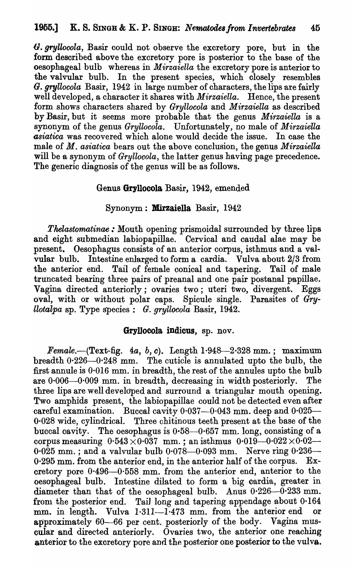(). *gryZlooola,* Basir could not observe the excretory pore, but in the form described above the excretory pore is posterior to the base of the oesophageal bulb whereas in *Mirzaiella* the excretory pore is anterior to the valvular bulb. In the present species, which closely resembles *G. gryllocola* Basir, 1942 in large number of characters, the lips are fairly well developed, a character it shares with *Mirzaiella.* Hence, the present form shows characters shared by *Gryllocola* and *M irzaiella* as described by Basir, but it seems more probable that the genus *Mirzaiella* is a synonym of the genus *Gryllocola.* Unfortunately, no male of *Mirzaiella asiatica* was recovered which alone would decide the issue. In case the male of *M. asiatica* bears out the above conclusion, the genus *Mirzaiella*  will be a synonym of *Gryllocola*, the latter genus having page precedence. The generic diagnosis of the genus will be as follows.

## Genus Gryllocola Basir, 1942, emended

#### Synonym: Mirzaiella Basir, 1942

*Thelastomatinae* : Mouth opening prismoidal surrounded by three lips and eight submedian labiopapillae. Cervical and caudal alae may be present. Oesophagus consists of an anterior corpus, isthmus and a valvular bulb. Intestine enlarged to form a cardia. Vulva about 2/3 from the anterior end. Tail of female conical and tapering. Tail of male truncated bearing three pairs of preanal and one pair postanal papillae. Vagina directed anteriorly; ovaries two; uteri two, divergent. Eggs oval, with or without polar caps. Spicule single. Parasites of *Gryllotalpa* sp. Type species: *G. gryllocola* Basir, 1942.

#### GrylJocola indicus, sp. nov.

Female.--(Text-fig.  $4a, b, c$ ). Length 1.948-2.328 mm.; maximum breadth  $0.226 - 0.248$  mm. The cuticle is annulated upto the bulb, the first annule is  $0.016$  mm. in breadth, the rest of the annules upto the bulb are  $0.006-0.009$  mm. in breadth, decreasing in width posteriorly. The three lips are well developed and surround a triangular mouth opening. Two amphids present, the labiopapillae could not be detected even after careful examination. Buccal cavity  $0.037-0.043$  mm. deep and  $0.025-$ 0·028 wide, cylindrical. Three chitinous teeth present at the base of the buccal cavity. The oesophagus is  $0.58-0.657$  mm. long, consisting of a corpus measuring  $0.543 \times 0.037$  mm.; an isthmus  $0.019 - 0.022 \times 0.02$  $0.025$  mm.; and a valvular bulb  $0.078-0.093$  mm. Nerve ring  $0.236-$ 0·295 mm. from the anterior end, in the anterior half of the corpus. Excretory pore  $0.496-0.558$  mm. from the anterior end, anterior to the oesophageal bulb. Intestine dilated to form a big cardia, greater in diameter than that of the oesophageal bulb. Anus  $0.226 - 0.233$  mm. from the posterior end. Tail long and tapering appendage about 0·164 mm. in length. Vulva  $1.311-1.473$  mm. from the anterior end approximately 60-66 per cent. posteriorly of the body. Vagina muscular and directed anteriorly. Ovaries two, the anterior one reaching anterior to the excretory pore and the posterior one posterior to the vulva.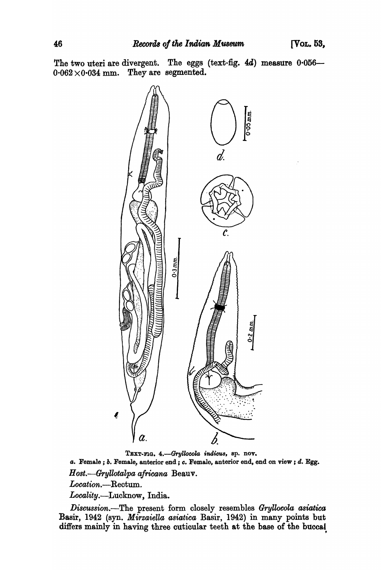The two uteri are divergent. The eggs (text-fig. 4d) measure 0.056- $0.062 \times 0.034$  mm. They are segmented.



TEXT-FIG. 4.-Gryllocola indicus, sp. nov. *a.* Female; b. Female, anterior end; c. Female, anterior end, end on view; d. Egg. *Host.-Gryllotalpa afrioana* Beauv. *Location.-Reotum.*  Locality.-Lucknow, India.

*Discussion.*-The present form closely resembles *Gryllocola asiatica* Basir, 1942 (syn. *Mirzaiella asiatica* Basir, 1942) in many points but differs mainly in having three cuticular teeth at the base of the buccal.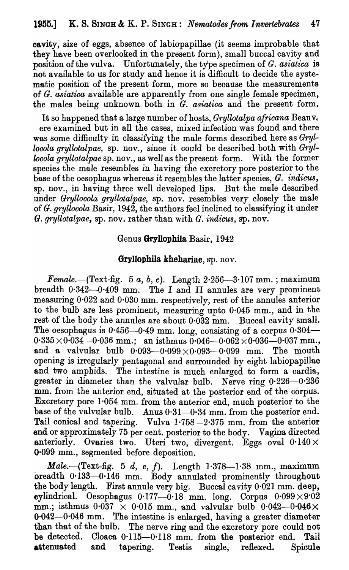oavity, size of eggs, absence of labiopapillae (it seems improbable that they have been overlooked in the present form), small buccal cavity and position of the vulva. Unfortunately, the type specimen of *G. asiatica* is not available to us for study and hence it is difficult to decide the systematic position of the present form, more so because the measurements of *G. asiatica* available are apparently from one single female specimen, the males being unknown both in G. *asiatica* and the present form.

It so happened that a large number of hosts, *Gryllotalpa africana* Beauv. ere examined but in all the cases, mixed infection was found and there was some difficulty in classifying the male forms described here as *Gryllocola gryllotalpae,* sp. nov., since it could be described both with *Gryllocola gryllotalpae sp.* nov., as well as the present form. With the former species the male resembles in having the excretory pore posterior to the base of the oesophagus whereas it resembles the latter species, *G. indicus,*  sp. nov., in having three well developed lips. But the male described under *Gryllocola gryllotalpae,* sp. nov. resembles very closely the male of *G. gryllocola* Basir, 1942, the authors feel inclined to classifying it under *G. gryllotalpae,* sp. nov. rather than with *G. indicus,* sp. nov.

## Genus GryllophiIa Basir, 1942

## Gryllophila khehariae, sp. nov.

*Female.*--(Text-fig. 5 *a*, *b*, *c*). Length  $2.256-3.107$  mm.; maximum breadth  $0.342-0.409$  mm. The I and II annules are very prominent measuring 0·022 and 0·030 mm. respectively, rest of the annules anterior to the bulb are less prominent, measuring upto  $0.045$  mm., and in the rest of the body the annules are about  $0.032$  mm. Buccal cavity small. The oesophagus is  $0.456 - 0.49$  mm. long, consisting of a corpus  $0.304$ -- $0.335 \times 0.034 - 0.036$  mm.; an isthmus  $0.046 - 0.062 \times 0.036 - 0.037$  mm. and a valvular bulb  $0.093-0.099\times0.093-0.099$  mm. The mouth opening is irregularly pentagonal and surrounded by eight labiopapillae and two amphids. The intestine is much enlarged to form a cardia, greater in diameter than the valvular bulb. Nerve ring  $0.226 - 0.236$ mm. from the anterior end, situated at the posterior end of the corpus. Excretory pore 1·054 mm. from the anterior end, much posterior to the base of the valvular bulb. Anus  $0.31-0.34$  mm. from the posterior end. Tail conical and tapering. Vulva 1.758-2.375 mm. from the anterior end or approximately 75 per cent. posterior to the body. Vagina directed anteriorly. Ovaries two. Uteri two, divergent. Eggs oval  $0.140 \times$ 0·099 mm., segmented before deposition.

*Male.*-(Text-fig. 5 *d, e, f*). Length 1.378-1.38 mm., maximum breadth 0·133-0·146 mm. Body annulated prominently throughout the body length. First annule very big. Buccal cavity 0·021 mm. deep, cylindrical. Oesophagus  $0.177-0.18$  mm. long. Corpus  $0.099\times0.02$ mm.; isthmus  $0.037 \times 0.015$  mm., and valvular bulb  $0.042-0.046\times$  $0.042-0.046$  mm. The intestine is enlarged, having a greater diameter than that of the bulb. The nerve ring and the excretory pore could not be detected. Cloaca  $0.115-0.118$  mm. from the posterior end. Tail attenuated and tapering. Testis single, reflexed. Spioule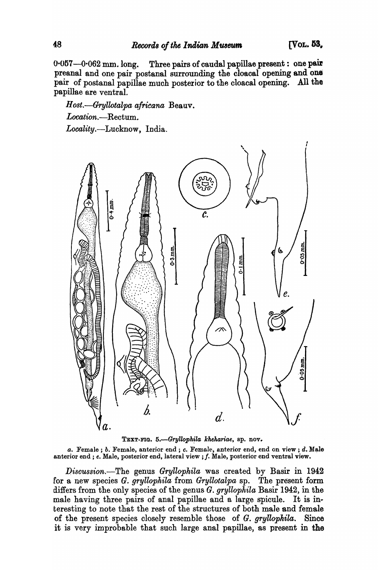$0.057-0.062$  mm. long. Three pairs of caudal papillae present: one pair preanal and one pair postanal surrounding the cloacal opening and one pair of postanal papillae much posterior to the cloacal opening. All the papillae are ventral.

Host.-Gryllotalpa africana Beauv. Location.-Rectum. *Locality.-Lucknow,* India.



*a.* Female; *b.* Female, anterior end; *c.* Female, anterior end, end on view; *d.* Male anterior end; *e. Male, posterior end, lateral view*; *f. Male, posterior end ventral view.* 

*Discussion.*-The genus *Gryllophila* was created by Basir in 1942 for a new species *G. gryllophila* from *Gryllotalpa* sp. The present form differs from the only species of the genus *G. gryllophila* Basir 1942, in the male having three pairs of anal papillae and a large spicule. It is interesting to note that the rest of the structures of both male and female of the present species closely resemble those of G. *g'l'yllopkila..* Since it is very improbable that such large anal papillae, as present in the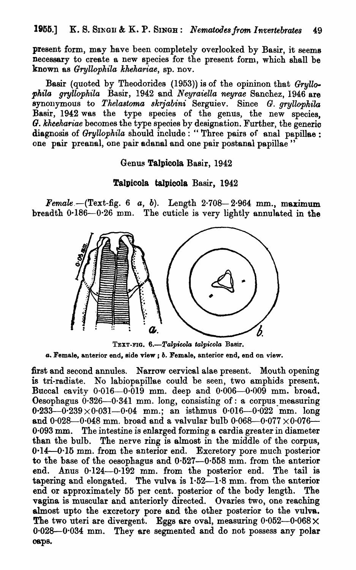present form, may have been completely overlooked by Basir, it seems necessary to create a new species for the present form, which shall be known as *Gryllophila khehariae,* sp. nov.

Basir (quoted by Theodorides (1953)) is of the opininon that *GryllofJhila gryllophila* Basir, 1942 and *N eyraiella neyrae* Sanchez, 1946 are synonymous to *Thelastoma skrjabini* Serguiev. Since *G. gryllophila* Basir, 1942 was the type species of the genus, the new species, O. *kheehariae* becomes the type speoies by designation. Further, the generic diagnosis of *Gryllophila* should include: "Three pairs of anal papillae: one pair preanal, one pair adanal and one pair postanal papillae"

## Genus Talpicola Basir, 1942

### Talpicola taIpicola Basir, 1942

*Female.-(Text-fig.* 6 *a, b).* Length 2-708-2-964 mm., maximum breadth 0·186-0·26 mm. The cuticle is very lightly annulated in the



TEXT-FIG. 6.-Talpicola talpicola Basir. *a.* Female, anterior end, side view; *b.* Female, anterior end, end on view.

first and second annules. Narrow cervical alae present. Mouth opening is tri-radiate. No labiopapillae could be seen, two amphids present. Buccal cavity  $0.016-0.019$  mm. deep and  $0.006-0.009$  mm. broad. Oesophagus  $0.326 - 0.341$  mm. long, consisting of: a corpus measuring  $0.233-0.239\times 0.031-0.04$  mm.; an isthmus  $0.016-0.022$  mm. long and  $0.028 - 0.048$  mm. broad and a valvular bulb  $0.068 - 0.077 \times 0.076$  $0.093$  mm. The intestine is enlarged forming a cardia greater in diameter than the bulb. The nerve ring is almost in the middle of the corpus, 0.14-0.15 mm. from the anterior end. Excretory pore much posterior to the base of the oesophagus and  $0.527-0.558$  mm. from the anterior end. Anus 0.124-0.192 mm. from the posterior end. The tail is tapering and elongated. The vulva is  $1.52-1.8$  mm. from the anterior end or approximately 55 per cent. posterior of the body length. The vagina is muscular and anteriorly directed. Ovaries two, one reaching almost upto the excretory pore and the other posterior to the vulva. The two uteri are divergent. Eggs are oval, measuring  $0.052-0.068\times$ 0-028-0·034 mm. They are segmented and do not possess any polar oops.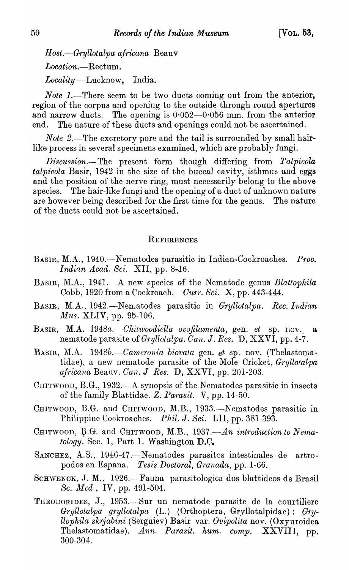$Host. -Gryllotalpa$  africana Beauv *Location.-Rectum. Locality* -Lucknow, India.

*Note 1*.—There seem to be two ducts coming out from the anterior, region of the corpus and opening to the outside through round apertures and narrow ducts. The opening is  $0.052-0.056$  mm. from the anterior end. The nature of these ducts and openings could not be ascertained.

*Note 2.*-The excretory pore and the tail is surrounded by small hairlike process in several specimens examined, which are probably fungi.

*Discussion.-The* present form though differing from *Talpicola talpicola* Basir, 1942 in the size of the buccal cavity, isthmus and eggs and the position of the nerve ring, must necessarily belong to the above species. The hair-like fungi and the opening of a duct of unknown nature are however being described for the first time for the genus. The nature of the ducts could not be ascertained.

#### **REFERENCES**

- BASIR, M.A., 1940.-N ematodes parasitic in Indian-Cockroaches. *Proc. Indian Acad. Sci. XII*, pp. 8-16.
- BASIR, M.A., 1941.—A new species of the Nematode genus *Blattophila* Cobb, 1920 from a Cockroach. Curr. Sci. X, pp. 443-444.
- BASIR, M.A., 1942.—Nematodes parasitic in *Gryllotalpa. Rec. Indian Mus.* XLIV, pp. 95-106.
- BASIR, M.A. 1948a.—Chitwoodiella ovofilamenta, gen. et sp. nov., a nematode parasite of *Gryllotalpa. Can.* J. *Res.* D, XXVI, pp. 4-7.
- BASIR, M.A. 1948b.--Cameronia biovata gen. et sp. nov. (Thelastomatidae), a new nematode parasite of the Mole Cricket, *Gryllotalpa africana* Beauv. *Oan.* J *Res.* D, XXVI, pp. 201-203.
- CHITWOOD, B.G., 1932.—A synopsis of the Nematodes parasitic in insects of the family Blattidae. Z. Parasit. V, pp. 14-50.
- CHITWOOD, B.G. and CHITWOOD, M.B., 1933.—Nematodes parasitic in Philippine Cockroaches. *Phil.* J. *Sci.* LII, pp. 381-393.
- CHITWOOD, B.G. and CHITWOOD, M.B., 1937.—An introduction to Nema $tology.$  Sec. 1, Part 1. Washington  $D.C.$
- SANCHEZ, A.S., 1946-47.—Nematodes parasitos intestinales de artropodos en Espana. *Tesis Doctoral, Granada,* pp. 1-66.
- SCHWENCK, J. M., 1926.-Fauna parasitologica dos blattideos de Brasil *Sc. Med*, IV, pp. 491-504.
- THEODORIDES, J., 1953.-Sur un nematode parasite de la eourtiliere *Gryllotalpa gryllotalpa* (L.) (Orthoptera, Gryllotalpidae): *Gfryllophila sk1jabini* (Serguiev) Basir var. *OVipolita* nov. (Oxyuroidea Thelastomatidae). Ann. Purasit. hum. comp. XXVIII, pp. 300-304.